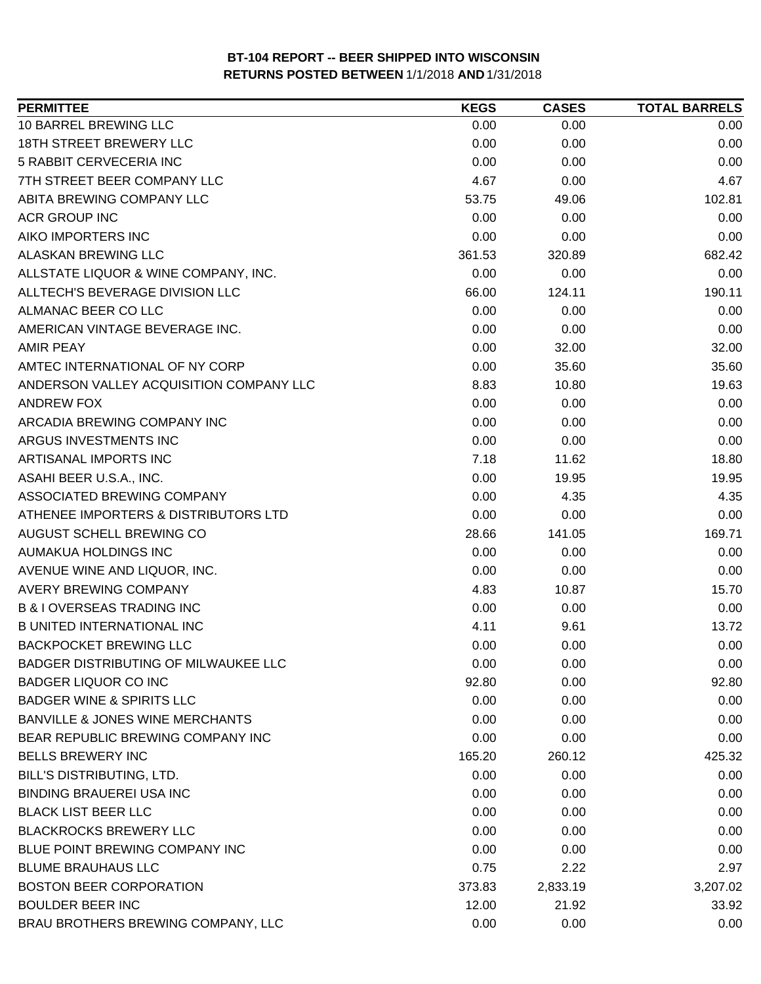| <b>PERMITTEE</b>                            | <b>KEGS</b> | <b>CASES</b> | <b>TOTAL BARRELS</b> |
|---------------------------------------------|-------------|--------------|----------------------|
| 10 BARREL BREWING LLC                       | 0.00        | 0.00         | 0.00                 |
| <b>18TH STREET BREWERY LLC</b>              | 0.00        | 0.00         | 0.00                 |
| 5 RABBIT CERVECERIA INC                     | 0.00        | 0.00         | 0.00                 |
| 7TH STREET BEER COMPANY LLC                 | 4.67        | 0.00         | 4.67                 |
| ABITA BREWING COMPANY LLC                   | 53.75       | 49.06        | 102.81               |
| <b>ACR GROUP INC</b>                        | 0.00        | 0.00         | 0.00                 |
| AIKO IMPORTERS INC                          | 0.00        | 0.00         | 0.00                 |
| ALASKAN BREWING LLC                         | 361.53      | 320.89       | 682.42               |
| ALLSTATE LIQUOR & WINE COMPANY, INC.        | 0.00        | 0.00         | 0.00                 |
| ALLTECH'S BEVERAGE DIVISION LLC             | 66.00       | 124.11       | 190.11               |
| ALMANAC BEER CO LLC                         | 0.00        | 0.00         | 0.00                 |
| AMERICAN VINTAGE BEVERAGE INC.              | 0.00        | 0.00         | 0.00                 |
| <b>AMIR PEAY</b>                            | 0.00        | 32.00        | 32.00                |
| AMTEC INTERNATIONAL OF NY CORP              | 0.00        | 35.60        | 35.60                |
| ANDERSON VALLEY ACQUISITION COMPANY LLC     | 8.83        | 10.80        | 19.63                |
| ANDREW FOX                                  | 0.00        | 0.00         | 0.00                 |
| ARCADIA BREWING COMPANY INC                 | 0.00        | 0.00         | 0.00                 |
| ARGUS INVESTMENTS INC                       | 0.00        | 0.00         | 0.00                 |
| ARTISANAL IMPORTS INC                       | 7.18        | 11.62        | 18.80                |
| ASAHI BEER U.S.A., INC.                     | 0.00        | 19.95        | 19.95                |
| ASSOCIATED BREWING COMPANY                  | 0.00        | 4.35         | 4.35                 |
| ATHENEE IMPORTERS & DISTRIBUTORS LTD        | 0.00        | 0.00         | 0.00                 |
| AUGUST SCHELL BREWING CO                    | 28.66       | 141.05       | 169.71               |
| AUMAKUA HOLDINGS INC                        | 0.00        | 0.00         | 0.00                 |
| AVENUE WINE AND LIQUOR, INC.                | 0.00        | 0.00         | 0.00                 |
| AVERY BREWING COMPANY                       | 4.83        | 10.87        | 15.70                |
| <b>B &amp; I OVERSEAS TRADING INC</b>       | 0.00        | 0.00         | 0.00                 |
| <b>B UNITED INTERNATIONAL INC</b>           | 4.11        | 9.61         | 13.72                |
| <b>BACKPOCKET BREWING LLC</b>               | 0.00        | 0.00         | 0.00                 |
| <b>BADGER DISTRIBUTING OF MILWAUKEE LLC</b> | 0.00        | 0.00         | 0.00                 |
| <b>BADGER LIQUOR CO INC</b>                 | 92.80       | 0.00         | 92.80                |
| <b>BADGER WINE &amp; SPIRITS LLC</b>        | 0.00        | 0.00         | 0.00                 |
| <b>BANVILLE &amp; JONES WINE MERCHANTS</b>  | 0.00        | 0.00         | 0.00                 |
| BEAR REPUBLIC BREWING COMPANY INC           | 0.00        | 0.00         | 0.00                 |
| <b>BELLS BREWERY INC</b>                    | 165.20      | 260.12       | 425.32               |
| BILL'S DISTRIBUTING, LTD.                   | 0.00        | 0.00         | 0.00                 |
| <b>BINDING BRAUEREI USA INC</b>             | 0.00        | 0.00         | 0.00                 |
| <b>BLACK LIST BEER LLC</b>                  | 0.00        | 0.00         | 0.00                 |
| <b>BLACKROCKS BREWERY LLC</b>               | 0.00        | 0.00         | 0.00                 |
| BLUE POINT BREWING COMPANY INC              | 0.00        | 0.00         | 0.00                 |
| <b>BLUME BRAUHAUS LLC</b>                   | 0.75        | 2.22         | 2.97                 |
| <b>BOSTON BEER CORPORATION</b>              | 373.83      | 2,833.19     | 3,207.02             |
| <b>BOULDER BEER INC</b>                     | 12.00       | 21.92        | 33.92                |
| BRAU BROTHERS BREWING COMPANY, LLC          | 0.00        | 0.00         | 0.00                 |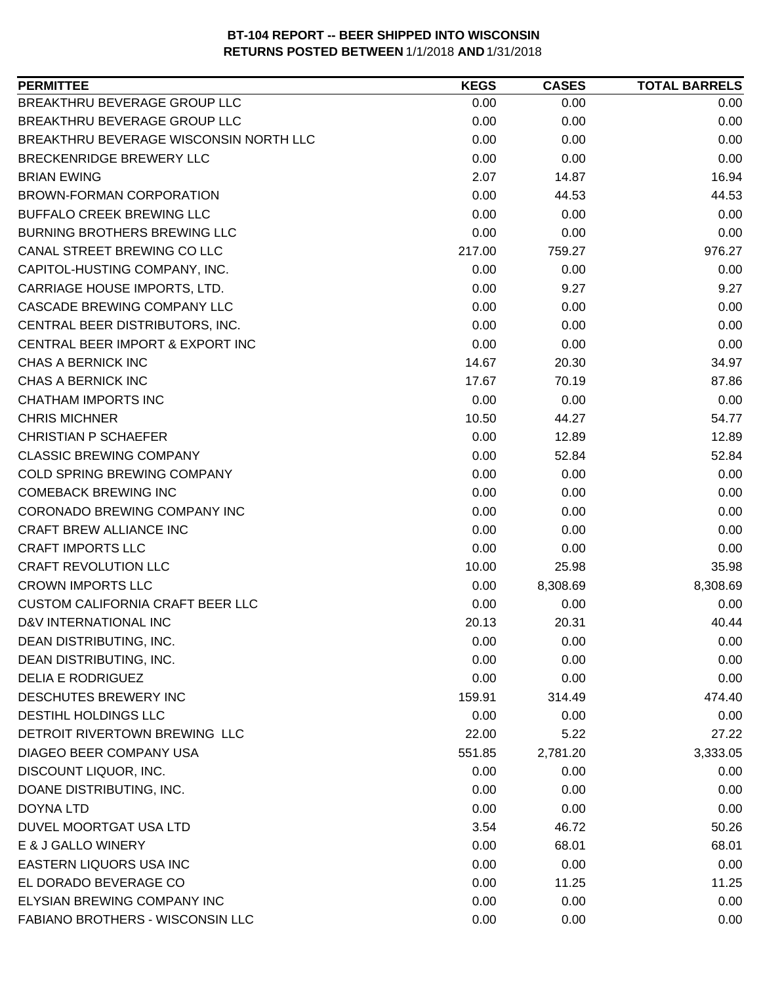| BREAKTHRU BEVERAGE GROUP LLC<br>0.00<br>0.00<br>0.00<br>BREAKTHRU BEVERAGE GROUP LLC<br>0.00<br>0.00<br>0.00<br>BREAKTHRU BEVERAGE WISCONSIN NORTH LLC<br>0.00<br>0.00<br>0.00<br>0.00<br>BRECKENRIDGE BREWERY LLC<br>0.00<br>0.00<br><b>BRIAN EWING</b><br>2.07<br>16.94<br>14.87<br><b>BROWN-FORMAN CORPORATION</b><br>0.00<br>44.53<br>44.53<br>BUFFALO CREEK BREWING LLC<br>0.00<br>0.00<br>0.00<br>0.00<br><b>BURNING BROTHERS BREWING LLC</b><br>0.00<br>0.00<br>CANAL STREET BREWING CO LLC<br>217.00<br>759.27<br>976.27<br>CAPITOL-HUSTING COMPANY, INC.<br>0.00<br>0.00<br>0.00<br>0.00<br>9.27<br>CARRIAGE HOUSE IMPORTS, LTD.<br>9.27<br>CASCADE BREWING COMPANY LLC<br>0.00<br>0.00<br>0.00<br>CENTRAL BEER DISTRIBUTORS, INC.<br>0.00<br>0.00<br>0.00<br>CENTRAL BEER IMPORT & EXPORT INC<br>0.00<br>0.00<br>0.00<br>CHAS A BERNICK INC<br>14.67<br>20.30<br>34.97<br>CHAS A BERNICK INC<br>87.86<br>17.67<br>70.19<br><b>CHATHAM IMPORTS INC</b><br>0.00<br>0.00<br>0.00<br>54.77<br><b>CHRIS MICHNER</b><br>10.50<br>44.27<br><b>CHRISTIAN P SCHAEFER</b><br>12.89<br>0.00<br>12.89<br>52.84<br><b>CLASSIC BREWING COMPANY</b><br>0.00<br>52.84<br>COLD SPRING BREWING COMPANY<br>0.00<br>0.00<br>0.00<br><b>COMEBACK BREWING INC</b><br>0.00<br>0.00<br>0.00<br>CORONADO BREWING COMPANY INC<br>0.00<br>0.00<br>0.00<br>CRAFT BREW ALLIANCE INC<br>0.00<br>0.00<br>0.00<br><b>CRAFT IMPORTS LLC</b><br>0.00<br>0.00<br>0.00<br><b>CRAFT REVOLUTION LLC</b><br>10.00<br>25.98<br>35.98<br><b>CROWN IMPORTS LLC</b><br>8,308.69<br>0.00<br>8,308.69 |
|--------------------------------------------------------------------------------------------------------------------------------------------------------------------------------------------------------------------------------------------------------------------------------------------------------------------------------------------------------------------------------------------------------------------------------------------------------------------------------------------------------------------------------------------------------------------------------------------------------------------------------------------------------------------------------------------------------------------------------------------------------------------------------------------------------------------------------------------------------------------------------------------------------------------------------------------------------------------------------------------------------------------------------------------------------------------------------------------------------------------------------------------------------------------------------------------------------------------------------------------------------------------------------------------------------------------------------------------------------------------------------------------------------------------------------------------------------------------------------------------------------------------------------------------------------------------|
|                                                                                                                                                                                                                                                                                                                                                                                                                                                                                                                                                                                                                                                                                                                                                                                                                                                                                                                                                                                                                                                                                                                                                                                                                                                                                                                                                                                                                                                                                                                                                                    |
|                                                                                                                                                                                                                                                                                                                                                                                                                                                                                                                                                                                                                                                                                                                                                                                                                                                                                                                                                                                                                                                                                                                                                                                                                                                                                                                                                                                                                                                                                                                                                                    |
|                                                                                                                                                                                                                                                                                                                                                                                                                                                                                                                                                                                                                                                                                                                                                                                                                                                                                                                                                                                                                                                                                                                                                                                                                                                                                                                                                                                                                                                                                                                                                                    |
|                                                                                                                                                                                                                                                                                                                                                                                                                                                                                                                                                                                                                                                                                                                                                                                                                                                                                                                                                                                                                                                                                                                                                                                                                                                                                                                                                                                                                                                                                                                                                                    |
|                                                                                                                                                                                                                                                                                                                                                                                                                                                                                                                                                                                                                                                                                                                                                                                                                                                                                                                                                                                                                                                                                                                                                                                                                                                                                                                                                                                                                                                                                                                                                                    |
|                                                                                                                                                                                                                                                                                                                                                                                                                                                                                                                                                                                                                                                                                                                                                                                                                                                                                                                                                                                                                                                                                                                                                                                                                                                                                                                                                                                                                                                                                                                                                                    |
|                                                                                                                                                                                                                                                                                                                                                                                                                                                                                                                                                                                                                                                                                                                                                                                                                                                                                                                                                                                                                                                                                                                                                                                                                                                                                                                                                                                                                                                                                                                                                                    |
|                                                                                                                                                                                                                                                                                                                                                                                                                                                                                                                                                                                                                                                                                                                                                                                                                                                                                                                                                                                                                                                                                                                                                                                                                                                                                                                                                                                                                                                                                                                                                                    |
|                                                                                                                                                                                                                                                                                                                                                                                                                                                                                                                                                                                                                                                                                                                                                                                                                                                                                                                                                                                                                                                                                                                                                                                                                                                                                                                                                                                                                                                                                                                                                                    |
|                                                                                                                                                                                                                                                                                                                                                                                                                                                                                                                                                                                                                                                                                                                                                                                                                                                                                                                                                                                                                                                                                                                                                                                                                                                                                                                                                                                                                                                                                                                                                                    |
|                                                                                                                                                                                                                                                                                                                                                                                                                                                                                                                                                                                                                                                                                                                                                                                                                                                                                                                                                                                                                                                                                                                                                                                                                                                                                                                                                                                                                                                                                                                                                                    |
|                                                                                                                                                                                                                                                                                                                                                                                                                                                                                                                                                                                                                                                                                                                                                                                                                                                                                                                                                                                                                                                                                                                                                                                                                                                                                                                                                                                                                                                                                                                                                                    |
|                                                                                                                                                                                                                                                                                                                                                                                                                                                                                                                                                                                                                                                                                                                                                                                                                                                                                                                                                                                                                                                                                                                                                                                                                                                                                                                                                                                                                                                                                                                                                                    |
|                                                                                                                                                                                                                                                                                                                                                                                                                                                                                                                                                                                                                                                                                                                                                                                                                                                                                                                                                                                                                                                                                                                                                                                                                                                                                                                                                                                                                                                                                                                                                                    |
|                                                                                                                                                                                                                                                                                                                                                                                                                                                                                                                                                                                                                                                                                                                                                                                                                                                                                                                                                                                                                                                                                                                                                                                                                                                                                                                                                                                                                                                                                                                                                                    |
|                                                                                                                                                                                                                                                                                                                                                                                                                                                                                                                                                                                                                                                                                                                                                                                                                                                                                                                                                                                                                                                                                                                                                                                                                                                                                                                                                                                                                                                                                                                                                                    |
|                                                                                                                                                                                                                                                                                                                                                                                                                                                                                                                                                                                                                                                                                                                                                                                                                                                                                                                                                                                                                                                                                                                                                                                                                                                                                                                                                                                                                                                                                                                                                                    |
|                                                                                                                                                                                                                                                                                                                                                                                                                                                                                                                                                                                                                                                                                                                                                                                                                                                                                                                                                                                                                                                                                                                                                                                                                                                                                                                                                                                                                                                                                                                                                                    |
|                                                                                                                                                                                                                                                                                                                                                                                                                                                                                                                                                                                                                                                                                                                                                                                                                                                                                                                                                                                                                                                                                                                                                                                                                                                                                                                                                                                                                                                                                                                                                                    |
|                                                                                                                                                                                                                                                                                                                                                                                                                                                                                                                                                                                                                                                                                                                                                                                                                                                                                                                                                                                                                                                                                                                                                                                                                                                                                                                                                                                                                                                                                                                                                                    |
|                                                                                                                                                                                                                                                                                                                                                                                                                                                                                                                                                                                                                                                                                                                                                                                                                                                                                                                                                                                                                                                                                                                                                                                                                                                                                                                                                                                                                                                                                                                                                                    |
|                                                                                                                                                                                                                                                                                                                                                                                                                                                                                                                                                                                                                                                                                                                                                                                                                                                                                                                                                                                                                                                                                                                                                                                                                                                                                                                                                                                                                                                                                                                                                                    |
|                                                                                                                                                                                                                                                                                                                                                                                                                                                                                                                                                                                                                                                                                                                                                                                                                                                                                                                                                                                                                                                                                                                                                                                                                                                                                                                                                                                                                                                                                                                                                                    |
|                                                                                                                                                                                                                                                                                                                                                                                                                                                                                                                                                                                                                                                                                                                                                                                                                                                                                                                                                                                                                                                                                                                                                                                                                                                                                                                                                                                                                                                                                                                                                                    |
|                                                                                                                                                                                                                                                                                                                                                                                                                                                                                                                                                                                                                                                                                                                                                                                                                                                                                                                                                                                                                                                                                                                                                                                                                                                                                                                                                                                                                                                                                                                                                                    |
|                                                                                                                                                                                                                                                                                                                                                                                                                                                                                                                                                                                                                                                                                                                                                                                                                                                                                                                                                                                                                                                                                                                                                                                                                                                                                                                                                                                                                                                                                                                                                                    |
|                                                                                                                                                                                                                                                                                                                                                                                                                                                                                                                                                                                                                                                                                                                                                                                                                                                                                                                                                                                                                                                                                                                                                                                                                                                                                                                                                                                                                                                                                                                                                                    |
| <b>CUSTOM CALIFORNIA CRAFT BEER LLC</b><br>0.00<br>0.00<br>0.00                                                                                                                                                                                                                                                                                                                                                                                                                                                                                                                                                                                                                                                                                                                                                                                                                                                                                                                                                                                                                                                                                                                                                                                                                                                                                                                                                                                                                                                                                                    |
| D&V INTERNATIONAL INC<br>20.13<br>20.31<br>40.44                                                                                                                                                                                                                                                                                                                                                                                                                                                                                                                                                                                                                                                                                                                                                                                                                                                                                                                                                                                                                                                                                                                                                                                                                                                                                                                                                                                                                                                                                                                   |
| DEAN DISTRIBUTING, INC.<br>0.00<br>0.00<br>0.00                                                                                                                                                                                                                                                                                                                                                                                                                                                                                                                                                                                                                                                                                                                                                                                                                                                                                                                                                                                                                                                                                                                                                                                                                                                                                                                                                                                                                                                                                                                    |
| DEAN DISTRIBUTING, INC.<br>0.00<br>0.00<br>0.00                                                                                                                                                                                                                                                                                                                                                                                                                                                                                                                                                                                                                                                                                                                                                                                                                                                                                                                                                                                                                                                                                                                                                                                                                                                                                                                                                                                                                                                                                                                    |
| <b>DELIA E RODRIGUEZ</b><br>0.00<br>0.00<br>0.00                                                                                                                                                                                                                                                                                                                                                                                                                                                                                                                                                                                                                                                                                                                                                                                                                                                                                                                                                                                                                                                                                                                                                                                                                                                                                                                                                                                                                                                                                                                   |
| DESCHUTES BREWERY INC<br>159.91<br>314.49<br>474.40                                                                                                                                                                                                                                                                                                                                                                                                                                                                                                                                                                                                                                                                                                                                                                                                                                                                                                                                                                                                                                                                                                                                                                                                                                                                                                                                                                                                                                                                                                                |
| <b>DESTIHL HOLDINGS LLC</b><br>0.00<br>0.00<br>0.00                                                                                                                                                                                                                                                                                                                                                                                                                                                                                                                                                                                                                                                                                                                                                                                                                                                                                                                                                                                                                                                                                                                                                                                                                                                                                                                                                                                                                                                                                                                |
| DETROIT RIVERTOWN BREWING LLC<br>27.22<br>22.00<br>5.22                                                                                                                                                                                                                                                                                                                                                                                                                                                                                                                                                                                                                                                                                                                                                                                                                                                                                                                                                                                                                                                                                                                                                                                                                                                                                                                                                                                                                                                                                                            |
| DIAGEO BEER COMPANY USA<br>551.85<br>2,781.20<br>3,333.05                                                                                                                                                                                                                                                                                                                                                                                                                                                                                                                                                                                                                                                                                                                                                                                                                                                                                                                                                                                                                                                                                                                                                                                                                                                                                                                                                                                                                                                                                                          |
| DISCOUNT LIQUOR, INC.<br>0.00<br>0.00<br>0.00                                                                                                                                                                                                                                                                                                                                                                                                                                                                                                                                                                                                                                                                                                                                                                                                                                                                                                                                                                                                                                                                                                                                                                                                                                                                                                                                                                                                                                                                                                                      |
| DOANE DISTRIBUTING, INC.<br>0.00<br>0.00<br>0.00                                                                                                                                                                                                                                                                                                                                                                                                                                                                                                                                                                                                                                                                                                                                                                                                                                                                                                                                                                                                                                                                                                                                                                                                                                                                                                                                                                                                                                                                                                                   |
| 0.00<br>0.00<br><b>DOYNA LTD</b><br>0.00                                                                                                                                                                                                                                                                                                                                                                                                                                                                                                                                                                                                                                                                                                                                                                                                                                                                                                                                                                                                                                                                                                                                                                                                                                                                                                                                                                                                                                                                                                                           |
| DUVEL MOORTGAT USA LTD<br>3.54<br>46.72<br>50.26                                                                                                                                                                                                                                                                                                                                                                                                                                                                                                                                                                                                                                                                                                                                                                                                                                                                                                                                                                                                                                                                                                                                                                                                                                                                                                                                                                                                                                                                                                                   |
| E & J GALLO WINERY<br>0.00<br>68.01<br>68.01                                                                                                                                                                                                                                                                                                                                                                                                                                                                                                                                                                                                                                                                                                                                                                                                                                                                                                                                                                                                                                                                                                                                                                                                                                                                                                                                                                                                                                                                                                                       |
| <b>EASTERN LIQUORS USA INC</b><br>0.00<br>0.00<br>0.00                                                                                                                                                                                                                                                                                                                                                                                                                                                                                                                                                                                                                                                                                                                                                                                                                                                                                                                                                                                                                                                                                                                                                                                                                                                                                                                                                                                                                                                                                                             |
| EL DORADO BEVERAGE CO<br>0.00<br>11.25<br>11.25                                                                                                                                                                                                                                                                                                                                                                                                                                                                                                                                                                                                                                                                                                                                                                                                                                                                                                                                                                                                                                                                                                                                                                                                                                                                                                                                                                                                                                                                                                                    |
| ELYSIAN BREWING COMPANY INC<br>0.00<br>0.00<br>0.00                                                                                                                                                                                                                                                                                                                                                                                                                                                                                                                                                                                                                                                                                                                                                                                                                                                                                                                                                                                                                                                                                                                                                                                                                                                                                                                                                                                                                                                                                                                |
| FABIANO BROTHERS - WISCONSIN LLC<br>0.00<br>0.00<br>0.00                                                                                                                                                                                                                                                                                                                                                                                                                                                                                                                                                                                                                                                                                                                                                                                                                                                                                                                                                                                                                                                                                                                                                                                                                                                                                                                                                                                                                                                                                                           |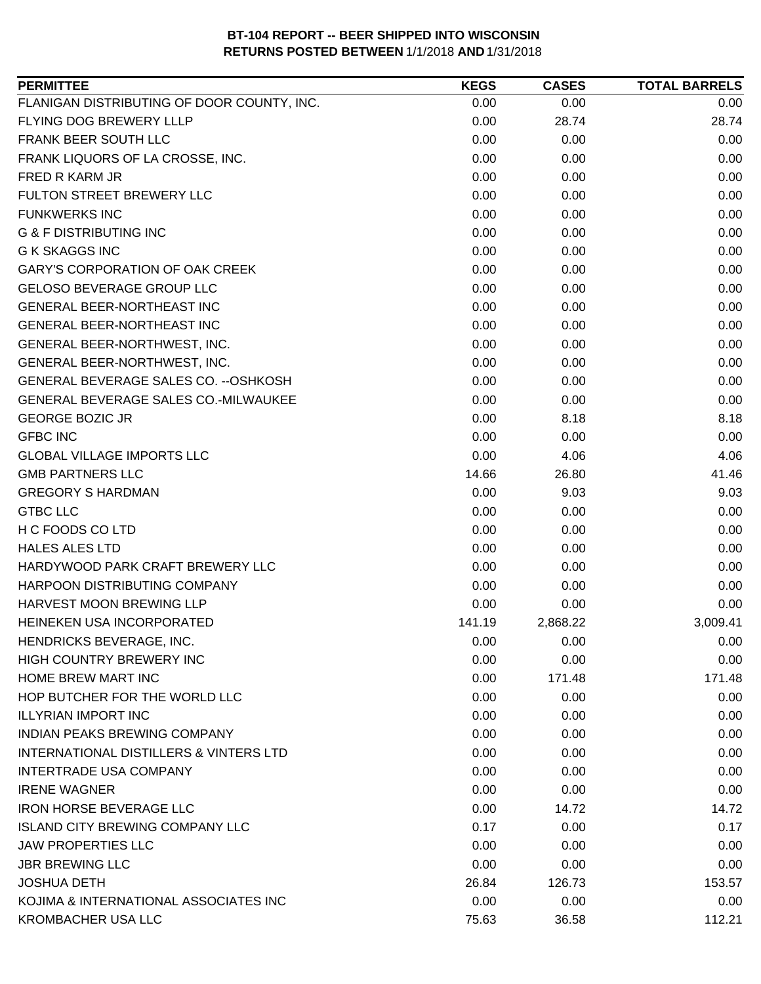| <b>PERMITTEE</b>                                  | <b>KEGS</b> | <b>CASES</b> | <b>TOTAL BARRELS</b> |
|---------------------------------------------------|-------------|--------------|----------------------|
| FLANIGAN DISTRIBUTING OF DOOR COUNTY, INC.        | 0.00        | 0.00         | 0.00                 |
| FLYING DOG BREWERY LLLP                           | 0.00        | 28.74        | 28.74                |
| FRANK BEER SOUTH LLC                              | 0.00        | 0.00         | 0.00                 |
| FRANK LIQUORS OF LA CROSSE, INC.                  | 0.00        | 0.00         | 0.00                 |
| FRED R KARM JR                                    | 0.00        | 0.00         | 0.00                 |
| FULTON STREET BREWERY LLC                         | 0.00        | 0.00         | 0.00                 |
| <b>FUNKWERKS INC</b>                              | 0.00        | 0.00         | 0.00                 |
| <b>G &amp; F DISTRIBUTING INC</b>                 | 0.00        | 0.00         | 0.00                 |
| <b>G K SKAGGS INC</b>                             | 0.00        | 0.00         | 0.00                 |
| <b>GARY'S CORPORATION OF OAK CREEK</b>            | 0.00        | 0.00         | 0.00                 |
| <b>GELOSO BEVERAGE GROUP LLC</b>                  | 0.00        | 0.00         | 0.00                 |
| <b>GENERAL BEER-NORTHEAST INC</b>                 | 0.00        | 0.00         | 0.00                 |
| <b>GENERAL BEER-NORTHEAST INC</b>                 | 0.00        | 0.00         | 0.00                 |
| GENERAL BEER-NORTHWEST, INC.                      | 0.00        | 0.00         | 0.00                 |
| GENERAL BEER-NORTHWEST, INC.                      | 0.00        | 0.00         | 0.00                 |
| GENERAL BEVERAGE SALES CO. -- OSHKOSH             | 0.00        | 0.00         | 0.00                 |
| GENERAL BEVERAGE SALES CO.-MILWAUKEE              | 0.00        | 0.00         | 0.00                 |
| <b>GEORGE BOZIC JR</b>                            | 0.00        | 8.18         | 8.18                 |
| <b>GFBC INC</b>                                   | 0.00        | 0.00         | 0.00                 |
| <b>GLOBAL VILLAGE IMPORTS LLC</b>                 | 0.00        | 4.06         | 4.06                 |
| <b>GMB PARTNERS LLC</b>                           | 14.66       | 26.80        | 41.46                |
| <b>GREGORY S HARDMAN</b>                          | 0.00        | 9.03         | 9.03                 |
| <b>GTBC LLC</b>                                   | 0.00        | 0.00         | 0.00                 |
| H C FOODS CO LTD                                  | 0.00        | 0.00         | 0.00                 |
| <b>HALES ALES LTD</b>                             | 0.00        | 0.00         | 0.00                 |
| HARDYWOOD PARK CRAFT BREWERY LLC                  | 0.00        | 0.00         | 0.00                 |
| HARPOON DISTRIBUTING COMPANY                      | 0.00        | 0.00         | 0.00                 |
| <b>HARVEST MOON BREWING LLP</b>                   | 0.00        | 0.00         | 0.00                 |
| HEINEKEN USA INCORPORATED                         | 141.19      | 2,868.22     | 3,009.41             |
| HENDRICKS BEVERAGE, INC.                          | 0.00        | 0.00         | 0.00                 |
| <b>HIGH COUNTRY BREWERY INC</b>                   | 0.00        | 0.00         | 0.00                 |
| HOME BREW MART INC                                | 0.00        | 171.48       | 171.48               |
| HOP BUTCHER FOR THE WORLD LLC                     | 0.00        | 0.00         | 0.00                 |
| <b>ILLYRIAN IMPORT INC</b>                        | 0.00        | 0.00         | 0.00                 |
| <b>INDIAN PEAKS BREWING COMPANY</b>               | 0.00        | 0.00         | 0.00                 |
| <b>INTERNATIONAL DISTILLERS &amp; VINTERS LTD</b> | 0.00        | 0.00         | 0.00                 |
| <b>INTERTRADE USA COMPANY</b>                     | 0.00        | 0.00         | 0.00                 |
| <b>IRENE WAGNER</b>                               | 0.00        | 0.00         | 0.00                 |
| <b>IRON HORSE BEVERAGE LLC</b>                    | 0.00        | 14.72        | 14.72                |
| <b>ISLAND CITY BREWING COMPANY LLC</b>            | 0.17        | 0.00         | 0.17                 |
| <b>JAW PROPERTIES LLC</b>                         | 0.00        | 0.00         | 0.00                 |
| <b>JBR BREWING LLC</b>                            | 0.00        | 0.00         | 0.00                 |
| <b>JOSHUA DETH</b>                                | 26.84       | 126.73       | 153.57               |
| KOJIMA & INTERNATIONAL ASSOCIATES INC             | 0.00        | 0.00         | 0.00                 |
| KROMBACHER USA LLC                                | 75.63       | 36.58        | 112.21               |
|                                                   |             |              |                      |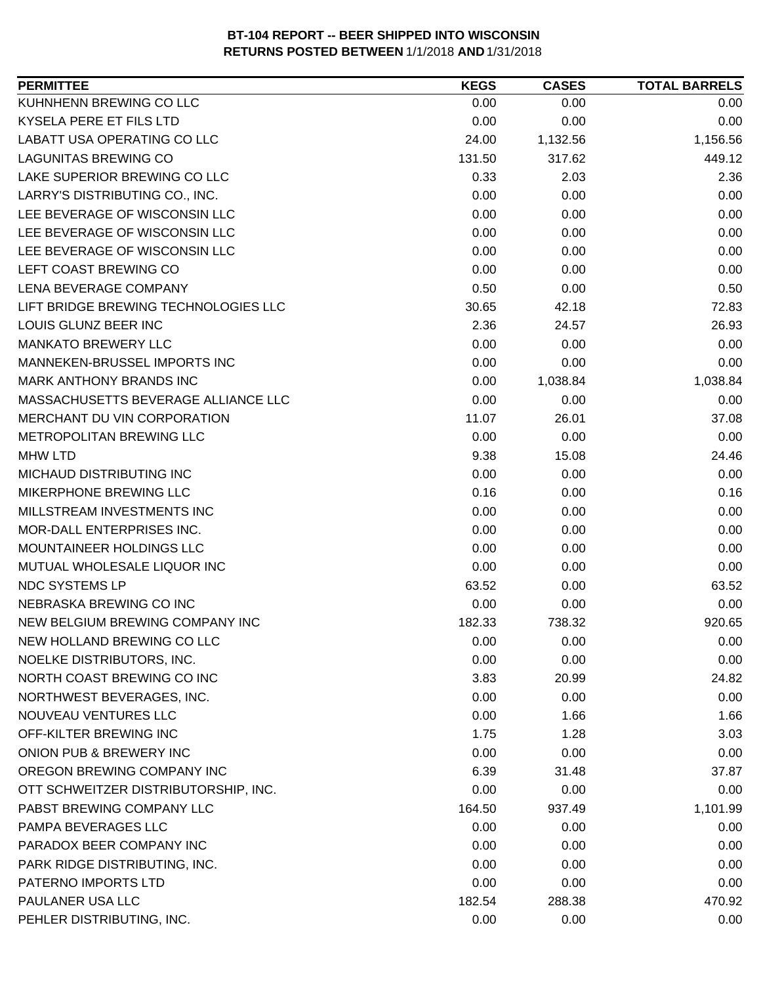| KUHNHENN BREWING CO LLC<br>0.00<br>0.00<br>0.00<br>KYSELA PERE ET FILS LTD<br>0.00<br>0.00<br>0.00<br>LABATT USA OPERATING CO LLC<br>24.00<br>1,132.56<br>1,156.56<br><b>LAGUNITAS BREWING CO</b><br>131.50<br>317.62<br>449.12<br>LAKE SUPERIOR BREWING CO LLC<br>0.33<br>2.03<br>2.36<br>LARRY'S DISTRIBUTING CO., INC.<br>0.00<br>0.00<br>0.00<br>LEE BEVERAGE OF WISCONSIN LLC<br>0.00<br>0.00<br>0.00<br>LEE BEVERAGE OF WISCONSIN LLC<br>0.00<br>0.00<br>0.00<br>LEE BEVERAGE OF WISCONSIN LLC<br>0.00<br>0.00<br>0.00<br>LEFT COAST BREWING CO<br>0.00<br>0.00<br>0.00<br>LENA BEVERAGE COMPANY<br>0.50<br>0.00<br>0.50<br>LIFT BRIDGE BREWING TECHNOLOGIES LLC<br>30.65<br>42.18<br>72.83<br>LOUIS GLUNZ BEER INC<br>2.36<br>26.93<br>24.57<br><b>MANKATO BREWERY LLC</b><br>0.00<br>0.00<br>0.00<br>MANNEKEN-BRUSSEL IMPORTS INC<br>0.00<br>0.00<br>0.00<br><b>MARK ANTHONY BRANDS INC</b><br>0.00<br>1,038.84<br>1,038.84<br>MASSACHUSETTS BEVERAGE ALLIANCE LLC<br>0.00<br>0.00<br>0.00<br>MERCHANT DU VIN CORPORATION<br>11.07<br>26.01<br>37.08<br>METROPOLITAN BREWING LLC<br>0.00<br>0.00<br>0.00<br>9.38<br><b>MHW LTD</b><br>15.08<br>24.46<br>MICHAUD DISTRIBUTING INC<br>0.00<br>0.00<br>0.00<br>MIKERPHONE BREWING LLC<br>0.16<br>0.16<br>0.00<br>MILLSTREAM INVESTMENTS INC<br>0.00<br>0.00<br>0.00<br>MOR-DALL ENTERPRISES INC.<br>0.00<br>0.00<br>0.00<br>MOUNTAINEER HOLDINGS LLC<br>0.00<br>0.00<br>0.00<br>MUTUAL WHOLESALE LIQUOR INC<br>0.00<br>0.00<br>0.00<br><b>NDC SYSTEMS LP</b><br>63.52<br>0.00<br>63.52<br>NEBRASKA BREWING CO INC<br>0.00<br>0.00<br>0.00<br>NEW BELGIUM BREWING COMPANY INC<br>738.32<br>920.65<br>182.33<br>NEW HOLLAND BREWING CO LLC<br>0.00<br>0.00<br>0.00<br>NOELKE DISTRIBUTORS, INC.<br>0.00<br>0.00<br>0.00<br>NORTH COAST BREWING CO INC<br>3.83<br>20.99<br>24.82<br>NORTHWEST BEVERAGES, INC.<br>0.00<br>0.00<br>0.00<br>NOUVEAU VENTURES LLC<br>0.00<br>1.66<br>1.66<br>OFF-KILTER BREWING INC<br>1.75<br>1.28<br>3.03<br>ONION PUB & BREWERY INC<br>0.00<br>0.00<br>0.00<br>OREGON BREWING COMPANY INC<br>6.39<br>31.48<br>37.87<br>OTT SCHWEITZER DISTRIBUTORSHIP, INC.<br>0.00<br>0.00<br>0.00<br>PABST BREWING COMPANY LLC<br>164.50<br>937.49<br>1,101.99<br>PAMPA BEVERAGES LLC<br>0.00<br>0.00<br>0.00<br>PARADOX BEER COMPANY INC<br>0.00<br>0.00<br>0.00<br>PARK RIDGE DISTRIBUTING, INC.<br>0.00<br>0.00<br>0.00<br>0.00<br>PATERNO IMPORTS LTD<br>0.00<br>0.00<br>PAULANER USA LLC<br>182.54<br>288.38<br>470.92<br>PEHLER DISTRIBUTING, INC.<br>0.00<br>0.00<br>0.00 | <b>PERMITTEE</b> | <b>KEGS</b> | <b>CASES</b> | <b>TOTAL BARRELS</b> |
|-----------------------------------------------------------------------------------------------------------------------------------------------------------------------------------------------------------------------------------------------------------------------------------------------------------------------------------------------------------------------------------------------------------------------------------------------------------------------------------------------------------------------------------------------------------------------------------------------------------------------------------------------------------------------------------------------------------------------------------------------------------------------------------------------------------------------------------------------------------------------------------------------------------------------------------------------------------------------------------------------------------------------------------------------------------------------------------------------------------------------------------------------------------------------------------------------------------------------------------------------------------------------------------------------------------------------------------------------------------------------------------------------------------------------------------------------------------------------------------------------------------------------------------------------------------------------------------------------------------------------------------------------------------------------------------------------------------------------------------------------------------------------------------------------------------------------------------------------------------------------------------------------------------------------------------------------------------------------------------------------------------------------------------------------------------------------------------------------------------------------------------------------------------------------------------------------------------------------------------------------------------------------------------------------------------------------------------------------------------------------------------------------------------------------------------------------------------------------------------------------------------------------------------------------------|------------------|-------------|--------------|----------------------|
|                                                                                                                                                                                                                                                                                                                                                                                                                                                                                                                                                                                                                                                                                                                                                                                                                                                                                                                                                                                                                                                                                                                                                                                                                                                                                                                                                                                                                                                                                                                                                                                                                                                                                                                                                                                                                                                                                                                                                                                                                                                                                                                                                                                                                                                                                                                                                                                                                                                                                                                                                     |                  |             |              |                      |
|                                                                                                                                                                                                                                                                                                                                                                                                                                                                                                                                                                                                                                                                                                                                                                                                                                                                                                                                                                                                                                                                                                                                                                                                                                                                                                                                                                                                                                                                                                                                                                                                                                                                                                                                                                                                                                                                                                                                                                                                                                                                                                                                                                                                                                                                                                                                                                                                                                                                                                                                                     |                  |             |              |                      |
|                                                                                                                                                                                                                                                                                                                                                                                                                                                                                                                                                                                                                                                                                                                                                                                                                                                                                                                                                                                                                                                                                                                                                                                                                                                                                                                                                                                                                                                                                                                                                                                                                                                                                                                                                                                                                                                                                                                                                                                                                                                                                                                                                                                                                                                                                                                                                                                                                                                                                                                                                     |                  |             |              |                      |
|                                                                                                                                                                                                                                                                                                                                                                                                                                                                                                                                                                                                                                                                                                                                                                                                                                                                                                                                                                                                                                                                                                                                                                                                                                                                                                                                                                                                                                                                                                                                                                                                                                                                                                                                                                                                                                                                                                                                                                                                                                                                                                                                                                                                                                                                                                                                                                                                                                                                                                                                                     |                  |             |              |                      |
|                                                                                                                                                                                                                                                                                                                                                                                                                                                                                                                                                                                                                                                                                                                                                                                                                                                                                                                                                                                                                                                                                                                                                                                                                                                                                                                                                                                                                                                                                                                                                                                                                                                                                                                                                                                                                                                                                                                                                                                                                                                                                                                                                                                                                                                                                                                                                                                                                                                                                                                                                     |                  |             |              |                      |
|                                                                                                                                                                                                                                                                                                                                                                                                                                                                                                                                                                                                                                                                                                                                                                                                                                                                                                                                                                                                                                                                                                                                                                                                                                                                                                                                                                                                                                                                                                                                                                                                                                                                                                                                                                                                                                                                                                                                                                                                                                                                                                                                                                                                                                                                                                                                                                                                                                                                                                                                                     |                  |             |              |                      |
|                                                                                                                                                                                                                                                                                                                                                                                                                                                                                                                                                                                                                                                                                                                                                                                                                                                                                                                                                                                                                                                                                                                                                                                                                                                                                                                                                                                                                                                                                                                                                                                                                                                                                                                                                                                                                                                                                                                                                                                                                                                                                                                                                                                                                                                                                                                                                                                                                                                                                                                                                     |                  |             |              |                      |
|                                                                                                                                                                                                                                                                                                                                                                                                                                                                                                                                                                                                                                                                                                                                                                                                                                                                                                                                                                                                                                                                                                                                                                                                                                                                                                                                                                                                                                                                                                                                                                                                                                                                                                                                                                                                                                                                                                                                                                                                                                                                                                                                                                                                                                                                                                                                                                                                                                                                                                                                                     |                  |             |              |                      |
|                                                                                                                                                                                                                                                                                                                                                                                                                                                                                                                                                                                                                                                                                                                                                                                                                                                                                                                                                                                                                                                                                                                                                                                                                                                                                                                                                                                                                                                                                                                                                                                                                                                                                                                                                                                                                                                                                                                                                                                                                                                                                                                                                                                                                                                                                                                                                                                                                                                                                                                                                     |                  |             |              |                      |
|                                                                                                                                                                                                                                                                                                                                                                                                                                                                                                                                                                                                                                                                                                                                                                                                                                                                                                                                                                                                                                                                                                                                                                                                                                                                                                                                                                                                                                                                                                                                                                                                                                                                                                                                                                                                                                                                                                                                                                                                                                                                                                                                                                                                                                                                                                                                                                                                                                                                                                                                                     |                  |             |              |                      |
|                                                                                                                                                                                                                                                                                                                                                                                                                                                                                                                                                                                                                                                                                                                                                                                                                                                                                                                                                                                                                                                                                                                                                                                                                                                                                                                                                                                                                                                                                                                                                                                                                                                                                                                                                                                                                                                                                                                                                                                                                                                                                                                                                                                                                                                                                                                                                                                                                                                                                                                                                     |                  |             |              |                      |
|                                                                                                                                                                                                                                                                                                                                                                                                                                                                                                                                                                                                                                                                                                                                                                                                                                                                                                                                                                                                                                                                                                                                                                                                                                                                                                                                                                                                                                                                                                                                                                                                                                                                                                                                                                                                                                                                                                                                                                                                                                                                                                                                                                                                                                                                                                                                                                                                                                                                                                                                                     |                  |             |              |                      |
|                                                                                                                                                                                                                                                                                                                                                                                                                                                                                                                                                                                                                                                                                                                                                                                                                                                                                                                                                                                                                                                                                                                                                                                                                                                                                                                                                                                                                                                                                                                                                                                                                                                                                                                                                                                                                                                                                                                                                                                                                                                                                                                                                                                                                                                                                                                                                                                                                                                                                                                                                     |                  |             |              |                      |
|                                                                                                                                                                                                                                                                                                                                                                                                                                                                                                                                                                                                                                                                                                                                                                                                                                                                                                                                                                                                                                                                                                                                                                                                                                                                                                                                                                                                                                                                                                                                                                                                                                                                                                                                                                                                                                                                                                                                                                                                                                                                                                                                                                                                                                                                                                                                                                                                                                                                                                                                                     |                  |             |              |                      |
|                                                                                                                                                                                                                                                                                                                                                                                                                                                                                                                                                                                                                                                                                                                                                                                                                                                                                                                                                                                                                                                                                                                                                                                                                                                                                                                                                                                                                                                                                                                                                                                                                                                                                                                                                                                                                                                                                                                                                                                                                                                                                                                                                                                                                                                                                                                                                                                                                                                                                                                                                     |                  |             |              |                      |
|                                                                                                                                                                                                                                                                                                                                                                                                                                                                                                                                                                                                                                                                                                                                                                                                                                                                                                                                                                                                                                                                                                                                                                                                                                                                                                                                                                                                                                                                                                                                                                                                                                                                                                                                                                                                                                                                                                                                                                                                                                                                                                                                                                                                                                                                                                                                                                                                                                                                                                                                                     |                  |             |              |                      |
|                                                                                                                                                                                                                                                                                                                                                                                                                                                                                                                                                                                                                                                                                                                                                                                                                                                                                                                                                                                                                                                                                                                                                                                                                                                                                                                                                                                                                                                                                                                                                                                                                                                                                                                                                                                                                                                                                                                                                                                                                                                                                                                                                                                                                                                                                                                                                                                                                                                                                                                                                     |                  |             |              |                      |
|                                                                                                                                                                                                                                                                                                                                                                                                                                                                                                                                                                                                                                                                                                                                                                                                                                                                                                                                                                                                                                                                                                                                                                                                                                                                                                                                                                                                                                                                                                                                                                                                                                                                                                                                                                                                                                                                                                                                                                                                                                                                                                                                                                                                                                                                                                                                                                                                                                                                                                                                                     |                  |             |              |                      |
|                                                                                                                                                                                                                                                                                                                                                                                                                                                                                                                                                                                                                                                                                                                                                                                                                                                                                                                                                                                                                                                                                                                                                                                                                                                                                                                                                                                                                                                                                                                                                                                                                                                                                                                                                                                                                                                                                                                                                                                                                                                                                                                                                                                                                                                                                                                                                                                                                                                                                                                                                     |                  |             |              |                      |
|                                                                                                                                                                                                                                                                                                                                                                                                                                                                                                                                                                                                                                                                                                                                                                                                                                                                                                                                                                                                                                                                                                                                                                                                                                                                                                                                                                                                                                                                                                                                                                                                                                                                                                                                                                                                                                                                                                                                                                                                                                                                                                                                                                                                                                                                                                                                                                                                                                                                                                                                                     |                  |             |              |                      |
|                                                                                                                                                                                                                                                                                                                                                                                                                                                                                                                                                                                                                                                                                                                                                                                                                                                                                                                                                                                                                                                                                                                                                                                                                                                                                                                                                                                                                                                                                                                                                                                                                                                                                                                                                                                                                                                                                                                                                                                                                                                                                                                                                                                                                                                                                                                                                                                                                                                                                                                                                     |                  |             |              |                      |
|                                                                                                                                                                                                                                                                                                                                                                                                                                                                                                                                                                                                                                                                                                                                                                                                                                                                                                                                                                                                                                                                                                                                                                                                                                                                                                                                                                                                                                                                                                                                                                                                                                                                                                                                                                                                                                                                                                                                                                                                                                                                                                                                                                                                                                                                                                                                                                                                                                                                                                                                                     |                  |             |              |                      |
|                                                                                                                                                                                                                                                                                                                                                                                                                                                                                                                                                                                                                                                                                                                                                                                                                                                                                                                                                                                                                                                                                                                                                                                                                                                                                                                                                                                                                                                                                                                                                                                                                                                                                                                                                                                                                                                                                                                                                                                                                                                                                                                                                                                                                                                                                                                                                                                                                                                                                                                                                     |                  |             |              |                      |
|                                                                                                                                                                                                                                                                                                                                                                                                                                                                                                                                                                                                                                                                                                                                                                                                                                                                                                                                                                                                                                                                                                                                                                                                                                                                                                                                                                                                                                                                                                                                                                                                                                                                                                                                                                                                                                                                                                                                                                                                                                                                                                                                                                                                                                                                                                                                                                                                                                                                                                                                                     |                  |             |              |                      |
|                                                                                                                                                                                                                                                                                                                                                                                                                                                                                                                                                                                                                                                                                                                                                                                                                                                                                                                                                                                                                                                                                                                                                                                                                                                                                                                                                                                                                                                                                                                                                                                                                                                                                                                                                                                                                                                                                                                                                                                                                                                                                                                                                                                                                                                                                                                                                                                                                                                                                                                                                     |                  |             |              |                      |
|                                                                                                                                                                                                                                                                                                                                                                                                                                                                                                                                                                                                                                                                                                                                                                                                                                                                                                                                                                                                                                                                                                                                                                                                                                                                                                                                                                                                                                                                                                                                                                                                                                                                                                                                                                                                                                                                                                                                                                                                                                                                                                                                                                                                                                                                                                                                                                                                                                                                                                                                                     |                  |             |              |                      |
|                                                                                                                                                                                                                                                                                                                                                                                                                                                                                                                                                                                                                                                                                                                                                                                                                                                                                                                                                                                                                                                                                                                                                                                                                                                                                                                                                                                                                                                                                                                                                                                                                                                                                                                                                                                                                                                                                                                                                                                                                                                                                                                                                                                                                                                                                                                                                                                                                                                                                                                                                     |                  |             |              |                      |
|                                                                                                                                                                                                                                                                                                                                                                                                                                                                                                                                                                                                                                                                                                                                                                                                                                                                                                                                                                                                                                                                                                                                                                                                                                                                                                                                                                                                                                                                                                                                                                                                                                                                                                                                                                                                                                                                                                                                                                                                                                                                                                                                                                                                                                                                                                                                                                                                                                                                                                                                                     |                  |             |              |                      |
|                                                                                                                                                                                                                                                                                                                                                                                                                                                                                                                                                                                                                                                                                                                                                                                                                                                                                                                                                                                                                                                                                                                                                                                                                                                                                                                                                                                                                                                                                                                                                                                                                                                                                                                                                                                                                                                                                                                                                                                                                                                                                                                                                                                                                                                                                                                                                                                                                                                                                                                                                     |                  |             |              |                      |
|                                                                                                                                                                                                                                                                                                                                                                                                                                                                                                                                                                                                                                                                                                                                                                                                                                                                                                                                                                                                                                                                                                                                                                                                                                                                                                                                                                                                                                                                                                                                                                                                                                                                                                                                                                                                                                                                                                                                                                                                                                                                                                                                                                                                                                                                                                                                                                                                                                                                                                                                                     |                  |             |              |                      |
|                                                                                                                                                                                                                                                                                                                                                                                                                                                                                                                                                                                                                                                                                                                                                                                                                                                                                                                                                                                                                                                                                                                                                                                                                                                                                                                                                                                                                                                                                                                                                                                                                                                                                                                                                                                                                                                                                                                                                                                                                                                                                                                                                                                                                                                                                                                                                                                                                                                                                                                                                     |                  |             |              |                      |
|                                                                                                                                                                                                                                                                                                                                                                                                                                                                                                                                                                                                                                                                                                                                                                                                                                                                                                                                                                                                                                                                                                                                                                                                                                                                                                                                                                                                                                                                                                                                                                                                                                                                                                                                                                                                                                                                                                                                                                                                                                                                                                                                                                                                                                                                                                                                                                                                                                                                                                                                                     |                  |             |              |                      |
|                                                                                                                                                                                                                                                                                                                                                                                                                                                                                                                                                                                                                                                                                                                                                                                                                                                                                                                                                                                                                                                                                                                                                                                                                                                                                                                                                                                                                                                                                                                                                                                                                                                                                                                                                                                                                                                                                                                                                                                                                                                                                                                                                                                                                                                                                                                                                                                                                                                                                                                                                     |                  |             |              |                      |
|                                                                                                                                                                                                                                                                                                                                                                                                                                                                                                                                                                                                                                                                                                                                                                                                                                                                                                                                                                                                                                                                                                                                                                                                                                                                                                                                                                                                                                                                                                                                                                                                                                                                                                                                                                                                                                                                                                                                                                                                                                                                                                                                                                                                                                                                                                                                                                                                                                                                                                                                                     |                  |             |              |                      |
|                                                                                                                                                                                                                                                                                                                                                                                                                                                                                                                                                                                                                                                                                                                                                                                                                                                                                                                                                                                                                                                                                                                                                                                                                                                                                                                                                                                                                                                                                                                                                                                                                                                                                                                                                                                                                                                                                                                                                                                                                                                                                                                                                                                                                                                                                                                                                                                                                                                                                                                                                     |                  |             |              |                      |
|                                                                                                                                                                                                                                                                                                                                                                                                                                                                                                                                                                                                                                                                                                                                                                                                                                                                                                                                                                                                                                                                                                                                                                                                                                                                                                                                                                                                                                                                                                                                                                                                                                                                                                                                                                                                                                                                                                                                                                                                                                                                                                                                                                                                                                                                                                                                                                                                                                                                                                                                                     |                  |             |              |                      |
|                                                                                                                                                                                                                                                                                                                                                                                                                                                                                                                                                                                                                                                                                                                                                                                                                                                                                                                                                                                                                                                                                                                                                                                                                                                                                                                                                                                                                                                                                                                                                                                                                                                                                                                                                                                                                                                                                                                                                                                                                                                                                                                                                                                                                                                                                                                                                                                                                                                                                                                                                     |                  |             |              |                      |
|                                                                                                                                                                                                                                                                                                                                                                                                                                                                                                                                                                                                                                                                                                                                                                                                                                                                                                                                                                                                                                                                                                                                                                                                                                                                                                                                                                                                                                                                                                                                                                                                                                                                                                                                                                                                                                                                                                                                                                                                                                                                                                                                                                                                                                                                                                                                                                                                                                                                                                                                                     |                  |             |              |                      |
|                                                                                                                                                                                                                                                                                                                                                                                                                                                                                                                                                                                                                                                                                                                                                                                                                                                                                                                                                                                                                                                                                                                                                                                                                                                                                                                                                                                                                                                                                                                                                                                                                                                                                                                                                                                                                                                                                                                                                                                                                                                                                                                                                                                                                                                                                                                                                                                                                                                                                                                                                     |                  |             |              |                      |
|                                                                                                                                                                                                                                                                                                                                                                                                                                                                                                                                                                                                                                                                                                                                                                                                                                                                                                                                                                                                                                                                                                                                                                                                                                                                                                                                                                                                                                                                                                                                                                                                                                                                                                                                                                                                                                                                                                                                                                                                                                                                                                                                                                                                                                                                                                                                                                                                                                                                                                                                                     |                  |             |              |                      |
|                                                                                                                                                                                                                                                                                                                                                                                                                                                                                                                                                                                                                                                                                                                                                                                                                                                                                                                                                                                                                                                                                                                                                                                                                                                                                                                                                                                                                                                                                                                                                                                                                                                                                                                                                                                                                                                                                                                                                                                                                                                                                                                                                                                                                                                                                                                                                                                                                                                                                                                                                     |                  |             |              |                      |
|                                                                                                                                                                                                                                                                                                                                                                                                                                                                                                                                                                                                                                                                                                                                                                                                                                                                                                                                                                                                                                                                                                                                                                                                                                                                                                                                                                                                                                                                                                                                                                                                                                                                                                                                                                                                                                                                                                                                                                                                                                                                                                                                                                                                                                                                                                                                                                                                                                                                                                                                                     |                  |             |              |                      |
|                                                                                                                                                                                                                                                                                                                                                                                                                                                                                                                                                                                                                                                                                                                                                                                                                                                                                                                                                                                                                                                                                                                                                                                                                                                                                                                                                                                                                                                                                                                                                                                                                                                                                                                                                                                                                                                                                                                                                                                                                                                                                                                                                                                                                                                                                                                                                                                                                                                                                                                                                     |                  |             |              |                      |
|                                                                                                                                                                                                                                                                                                                                                                                                                                                                                                                                                                                                                                                                                                                                                                                                                                                                                                                                                                                                                                                                                                                                                                                                                                                                                                                                                                                                                                                                                                                                                                                                                                                                                                                                                                                                                                                                                                                                                                                                                                                                                                                                                                                                                                                                                                                                                                                                                                                                                                                                                     |                  |             |              |                      |
|                                                                                                                                                                                                                                                                                                                                                                                                                                                                                                                                                                                                                                                                                                                                                                                                                                                                                                                                                                                                                                                                                                                                                                                                                                                                                                                                                                                                                                                                                                                                                                                                                                                                                                                                                                                                                                                                                                                                                                                                                                                                                                                                                                                                                                                                                                                                                                                                                                                                                                                                                     |                  |             |              |                      |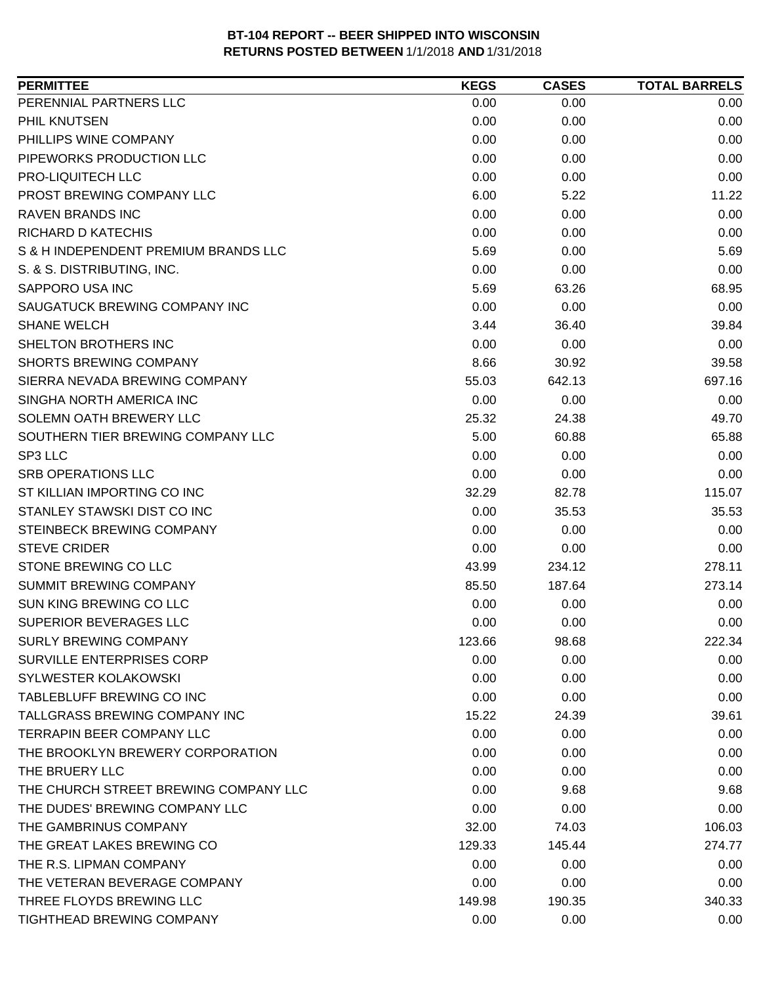| PERENNIAL PARTNERS LLC<br>0.00<br>0.00<br>0.00<br>PHIL KNUTSEN<br>0.00<br>0.00<br>0.00<br>PHILLIPS WINE COMPANY<br>0.00<br>0.00<br>0.00<br>0.00<br>PIPEWORKS PRODUCTION LLC<br>0.00<br>0.00<br>PRO-LIQUITECH LLC<br>0.00<br>0.00<br>0.00<br>PROST BREWING COMPANY LLC<br>6.00<br>5.22<br>11.22<br><b>RAVEN BRANDS INC</b><br>0.00<br>0.00<br>0.00<br>0.00<br>RICHARD D KATECHIS<br>0.00<br>0.00<br>5.69<br>5.69<br>S & H INDEPENDENT PREMIUM BRANDS LLC<br>0.00<br>S. & S. DISTRIBUTING, INC.<br>0.00<br>0.00<br>0.00<br>SAPPORO USA INC<br>5.69<br>63.26<br>68.95<br>0.00<br>0.00<br>SAUGATUCK BREWING COMPANY INC<br>0.00<br><b>SHANE WELCH</b><br>3.44<br>36.40<br>39.84<br>SHELTON BROTHERS INC<br>0.00<br>0.00<br>0.00<br><b>SHORTS BREWING COMPANY</b><br>8.66<br>30.92<br>39.58<br>697.16<br>SIERRA NEVADA BREWING COMPANY<br>55.03<br>642.13<br>SINGHA NORTH AMERICA INC<br>0.00<br>0.00<br>0.00<br>SOLEMN OATH BREWERY LLC<br>25.32<br>24.38<br>49.70<br>SOUTHERN TIER BREWING COMPANY LLC<br>5.00<br>60.88<br>65.88<br>SP3 LLC<br>0.00<br>0.00<br>0.00<br>0.00<br>0.00<br><b>SRB OPERATIONS LLC</b><br>0.00<br>ST KILLIAN IMPORTING CO INC<br>32.29<br>82.78<br>115.07<br>STANLEY STAWSKI DIST CO INC<br>35.53<br>0.00<br>35.53<br>STEINBECK BREWING COMPANY<br>0.00<br>0.00<br>0.00<br>0.00<br><b>STEVE CRIDER</b><br>0.00<br>0.00<br>STONE BREWING CO LLC<br>278.11<br>43.99<br>234.12<br><b>SUMMIT BREWING COMPANY</b><br>187.64<br>273.14<br>85.50<br><b>SUN KING BREWING CO LLC</b><br>0.00<br>0.00<br>0.00<br><b>SUPERIOR BEVERAGES LLC</b><br>0.00<br>0.00<br>0.00<br><b>SURLY BREWING COMPANY</b><br>123.66<br>98.68<br>222.34<br>SURVILLE ENTERPRISES CORP<br>0.00<br>0.00<br>0.00 |
|-------------------------------------------------------------------------------------------------------------------------------------------------------------------------------------------------------------------------------------------------------------------------------------------------------------------------------------------------------------------------------------------------------------------------------------------------------------------------------------------------------------------------------------------------------------------------------------------------------------------------------------------------------------------------------------------------------------------------------------------------------------------------------------------------------------------------------------------------------------------------------------------------------------------------------------------------------------------------------------------------------------------------------------------------------------------------------------------------------------------------------------------------------------------------------------------------------------------------------------------------------------------------------------------------------------------------------------------------------------------------------------------------------------------------------------------------------------------------------------------------------------------------------------------------------------------------------------------------------------------------------------------------------------------------------------------------------|
|                                                                                                                                                                                                                                                                                                                                                                                                                                                                                                                                                                                                                                                                                                                                                                                                                                                                                                                                                                                                                                                                                                                                                                                                                                                                                                                                                                                                                                                                                                                                                                                                                                                                                                       |
|                                                                                                                                                                                                                                                                                                                                                                                                                                                                                                                                                                                                                                                                                                                                                                                                                                                                                                                                                                                                                                                                                                                                                                                                                                                                                                                                                                                                                                                                                                                                                                                                                                                                                                       |
|                                                                                                                                                                                                                                                                                                                                                                                                                                                                                                                                                                                                                                                                                                                                                                                                                                                                                                                                                                                                                                                                                                                                                                                                                                                                                                                                                                                                                                                                                                                                                                                                                                                                                                       |
|                                                                                                                                                                                                                                                                                                                                                                                                                                                                                                                                                                                                                                                                                                                                                                                                                                                                                                                                                                                                                                                                                                                                                                                                                                                                                                                                                                                                                                                                                                                                                                                                                                                                                                       |
|                                                                                                                                                                                                                                                                                                                                                                                                                                                                                                                                                                                                                                                                                                                                                                                                                                                                                                                                                                                                                                                                                                                                                                                                                                                                                                                                                                                                                                                                                                                                                                                                                                                                                                       |
|                                                                                                                                                                                                                                                                                                                                                                                                                                                                                                                                                                                                                                                                                                                                                                                                                                                                                                                                                                                                                                                                                                                                                                                                                                                                                                                                                                                                                                                                                                                                                                                                                                                                                                       |
|                                                                                                                                                                                                                                                                                                                                                                                                                                                                                                                                                                                                                                                                                                                                                                                                                                                                                                                                                                                                                                                                                                                                                                                                                                                                                                                                                                                                                                                                                                                                                                                                                                                                                                       |
|                                                                                                                                                                                                                                                                                                                                                                                                                                                                                                                                                                                                                                                                                                                                                                                                                                                                                                                                                                                                                                                                                                                                                                                                                                                                                                                                                                                                                                                                                                                                                                                                                                                                                                       |
|                                                                                                                                                                                                                                                                                                                                                                                                                                                                                                                                                                                                                                                                                                                                                                                                                                                                                                                                                                                                                                                                                                                                                                                                                                                                                                                                                                                                                                                                                                                                                                                                                                                                                                       |
|                                                                                                                                                                                                                                                                                                                                                                                                                                                                                                                                                                                                                                                                                                                                                                                                                                                                                                                                                                                                                                                                                                                                                                                                                                                                                                                                                                                                                                                                                                                                                                                                                                                                                                       |
|                                                                                                                                                                                                                                                                                                                                                                                                                                                                                                                                                                                                                                                                                                                                                                                                                                                                                                                                                                                                                                                                                                                                                                                                                                                                                                                                                                                                                                                                                                                                                                                                                                                                                                       |
|                                                                                                                                                                                                                                                                                                                                                                                                                                                                                                                                                                                                                                                                                                                                                                                                                                                                                                                                                                                                                                                                                                                                                                                                                                                                                                                                                                                                                                                                                                                                                                                                                                                                                                       |
|                                                                                                                                                                                                                                                                                                                                                                                                                                                                                                                                                                                                                                                                                                                                                                                                                                                                                                                                                                                                                                                                                                                                                                                                                                                                                                                                                                                                                                                                                                                                                                                                                                                                                                       |
|                                                                                                                                                                                                                                                                                                                                                                                                                                                                                                                                                                                                                                                                                                                                                                                                                                                                                                                                                                                                                                                                                                                                                                                                                                                                                                                                                                                                                                                                                                                                                                                                                                                                                                       |
|                                                                                                                                                                                                                                                                                                                                                                                                                                                                                                                                                                                                                                                                                                                                                                                                                                                                                                                                                                                                                                                                                                                                                                                                                                                                                                                                                                                                                                                                                                                                                                                                                                                                                                       |
|                                                                                                                                                                                                                                                                                                                                                                                                                                                                                                                                                                                                                                                                                                                                                                                                                                                                                                                                                                                                                                                                                                                                                                                                                                                                                                                                                                                                                                                                                                                                                                                                                                                                                                       |
|                                                                                                                                                                                                                                                                                                                                                                                                                                                                                                                                                                                                                                                                                                                                                                                                                                                                                                                                                                                                                                                                                                                                                                                                                                                                                                                                                                                                                                                                                                                                                                                                                                                                                                       |
|                                                                                                                                                                                                                                                                                                                                                                                                                                                                                                                                                                                                                                                                                                                                                                                                                                                                                                                                                                                                                                                                                                                                                                                                                                                                                                                                                                                                                                                                                                                                                                                                                                                                                                       |
|                                                                                                                                                                                                                                                                                                                                                                                                                                                                                                                                                                                                                                                                                                                                                                                                                                                                                                                                                                                                                                                                                                                                                                                                                                                                                                                                                                                                                                                                                                                                                                                                                                                                                                       |
|                                                                                                                                                                                                                                                                                                                                                                                                                                                                                                                                                                                                                                                                                                                                                                                                                                                                                                                                                                                                                                                                                                                                                                                                                                                                                                                                                                                                                                                                                                                                                                                                                                                                                                       |
|                                                                                                                                                                                                                                                                                                                                                                                                                                                                                                                                                                                                                                                                                                                                                                                                                                                                                                                                                                                                                                                                                                                                                                                                                                                                                                                                                                                                                                                                                                                                                                                                                                                                                                       |
|                                                                                                                                                                                                                                                                                                                                                                                                                                                                                                                                                                                                                                                                                                                                                                                                                                                                                                                                                                                                                                                                                                                                                                                                                                                                                                                                                                                                                                                                                                                                                                                                                                                                                                       |
|                                                                                                                                                                                                                                                                                                                                                                                                                                                                                                                                                                                                                                                                                                                                                                                                                                                                                                                                                                                                                                                                                                                                                                                                                                                                                                                                                                                                                                                                                                                                                                                                                                                                                                       |
|                                                                                                                                                                                                                                                                                                                                                                                                                                                                                                                                                                                                                                                                                                                                                                                                                                                                                                                                                                                                                                                                                                                                                                                                                                                                                                                                                                                                                                                                                                                                                                                                                                                                                                       |
|                                                                                                                                                                                                                                                                                                                                                                                                                                                                                                                                                                                                                                                                                                                                                                                                                                                                                                                                                                                                                                                                                                                                                                                                                                                                                                                                                                                                                                                                                                                                                                                                                                                                                                       |
|                                                                                                                                                                                                                                                                                                                                                                                                                                                                                                                                                                                                                                                                                                                                                                                                                                                                                                                                                                                                                                                                                                                                                                                                                                                                                                                                                                                                                                                                                                                                                                                                                                                                                                       |
|                                                                                                                                                                                                                                                                                                                                                                                                                                                                                                                                                                                                                                                                                                                                                                                                                                                                                                                                                                                                                                                                                                                                                                                                                                                                                                                                                                                                                                                                                                                                                                                                                                                                                                       |
|                                                                                                                                                                                                                                                                                                                                                                                                                                                                                                                                                                                                                                                                                                                                                                                                                                                                                                                                                                                                                                                                                                                                                                                                                                                                                                                                                                                                                                                                                                                                                                                                                                                                                                       |
|                                                                                                                                                                                                                                                                                                                                                                                                                                                                                                                                                                                                                                                                                                                                                                                                                                                                                                                                                                                                                                                                                                                                                                                                                                                                                                                                                                                                                                                                                                                                                                                                                                                                                                       |
|                                                                                                                                                                                                                                                                                                                                                                                                                                                                                                                                                                                                                                                                                                                                                                                                                                                                                                                                                                                                                                                                                                                                                                                                                                                                                                                                                                                                                                                                                                                                                                                                                                                                                                       |
|                                                                                                                                                                                                                                                                                                                                                                                                                                                                                                                                                                                                                                                                                                                                                                                                                                                                                                                                                                                                                                                                                                                                                                                                                                                                                                                                                                                                                                                                                                                                                                                                                                                                                                       |
| SYLWESTER KOLAKOWSKI<br>0.00<br>0.00<br>0.00                                                                                                                                                                                                                                                                                                                                                                                                                                                                                                                                                                                                                                                                                                                                                                                                                                                                                                                                                                                                                                                                                                                                                                                                                                                                                                                                                                                                                                                                                                                                                                                                                                                          |
| TABLEBLUFF BREWING CO INC<br>0.00<br>0.00<br>0.00                                                                                                                                                                                                                                                                                                                                                                                                                                                                                                                                                                                                                                                                                                                                                                                                                                                                                                                                                                                                                                                                                                                                                                                                                                                                                                                                                                                                                                                                                                                                                                                                                                                     |
| TALLGRASS BREWING COMPANY INC<br>15.22<br>24.39<br>39.61                                                                                                                                                                                                                                                                                                                                                                                                                                                                                                                                                                                                                                                                                                                                                                                                                                                                                                                                                                                                                                                                                                                                                                                                                                                                                                                                                                                                                                                                                                                                                                                                                                              |
| <b>TERRAPIN BEER COMPANY LLC</b><br>0.00<br>0.00<br>0.00                                                                                                                                                                                                                                                                                                                                                                                                                                                                                                                                                                                                                                                                                                                                                                                                                                                                                                                                                                                                                                                                                                                                                                                                                                                                                                                                                                                                                                                                                                                                                                                                                                              |
| THE BROOKLYN BREWERY CORPORATION<br>0.00<br>0.00<br>0.00                                                                                                                                                                                                                                                                                                                                                                                                                                                                                                                                                                                                                                                                                                                                                                                                                                                                                                                                                                                                                                                                                                                                                                                                                                                                                                                                                                                                                                                                                                                                                                                                                                              |
| THE BRUERY LLC<br>0.00<br>0.00<br>0.00                                                                                                                                                                                                                                                                                                                                                                                                                                                                                                                                                                                                                                                                                                                                                                                                                                                                                                                                                                                                                                                                                                                                                                                                                                                                                                                                                                                                                                                                                                                                                                                                                                                                |
| THE CHURCH STREET BREWING COMPANY LLC<br>9.68<br>0.00<br>9.68                                                                                                                                                                                                                                                                                                                                                                                                                                                                                                                                                                                                                                                                                                                                                                                                                                                                                                                                                                                                                                                                                                                                                                                                                                                                                                                                                                                                                                                                                                                                                                                                                                         |
| THE DUDES' BREWING COMPANY LLC<br>0.00<br>0.00<br>0.00                                                                                                                                                                                                                                                                                                                                                                                                                                                                                                                                                                                                                                                                                                                                                                                                                                                                                                                                                                                                                                                                                                                                                                                                                                                                                                                                                                                                                                                                                                                                                                                                                                                |
| THE GAMBRINUS COMPANY<br>106.03<br>32.00<br>74.03                                                                                                                                                                                                                                                                                                                                                                                                                                                                                                                                                                                                                                                                                                                                                                                                                                                                                                                                                                                                                                                                                                                                                                                                                                                                                                                                                                                                                                                                                                                                                                                                                                                     |
| THE GREAT LAKES BREWING CO<br>274.77<br>129.33<br>145.44                                                                                                                                                                                                                                                                                                                                                                                                                                                                                                                                                                                                                                                                                                                                                                                                                                                                                                                                                                                                                                                                                                                                                                                                                                                                                                                                                                                                                                                                                                                                                                                                                                              |
| THE R.S. LIPMAN COMPANY<br>0.00<br>0.00<br>0.00                                                                                                                                                                                                                                                                                                                                                                                                                                                                                                                                                                                                                                                                                                                                                                                                                                                                                                                                                                                                                                                                                                                                                                                                                                                                                                                                                                                                                                                                                                                                                                                                                                                       |
| THE VETERAN BEVERAGE COMPANY<br>0.00<br>0.00<br>0.00                                                                                                                                                                                                                                                                                                                                                                                                                                                                                                                                                                                                                                                                                                                                                                                                                                                                                                                                                                                                                                                                                                                                                                                                                                                                                                                                                                                                                                                                                                                                                                                                                                                  |
| THREE FLOYDS BREWING LLC<br>149.98<br>190.35<br>340.33                                                                                                                                                                                                                                                                                                                                                                                                                                                                                                                                                                                                                                                                                                                                                                                                                                                                                                                                                                                                                                                                                                                                                                                                                                                                                                                                                                                                                                                                                                                                                                                                                                                |
| TIGHTHEAD BREWING COMPANY<br>0.00<br>0.00<br>0.00                                                                                                                                                                                                                                                                                                                                                                                                                                                                                                                                                                                                                                                                                                                                                                                                                                                                                                                                                                                                                                                                                                                                                                                                                                                                                                                                                                                                                                                                                                                                                                                                                                                     |